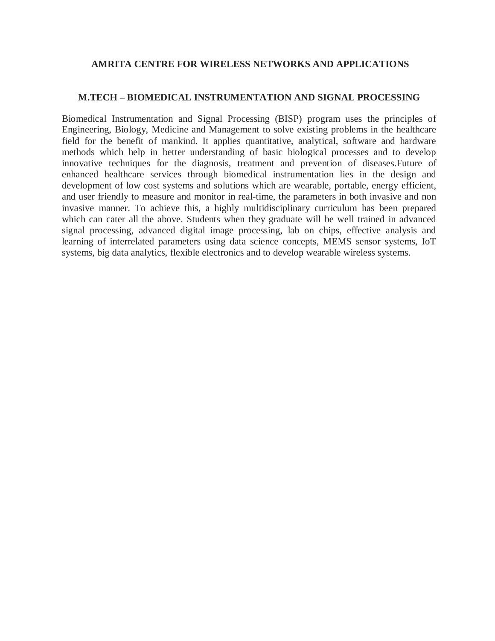#### **AMRITA CENTRE FOR WIRELESS NETWORKS AND APPLICATIONS**

#### **M.TECH – BIOMEDICAL INSTRUMENTATION AND SIGNAL PROCESSING**

Biomedical Instrumentation and Signal Processing (BISP) program uses the principles of Engineering, Biology, Medicine and Management to solve existing problems in the healthcare field for the benefit of mankind. It applies quantitative, analytical, software and hardware methods which help in better understanding of basic biological processes and to develop innovative techniques for the diagnosis, treatment and prevention of diseases.Future of enhanced healthcare services through biomedical instrumentation lies in the design and development of low cost systems and solutions which are wearable, portable, energy efficient, and user friendly to measure and monitor in real-time, the parameters in both invasive and non invasive manner. To achieve this, a highly multidisciplinary curriculum has been prepared which can cater all the above. Students when they graduate will be well trained in advanced signal processing, advanced digital image processing, lab on chips, effective analysis and learning of interrelated parameters using data science concepts, MEMS sensor systems, IoT systems, big data analytics, flexible electronics and to develop wearable wireless systems.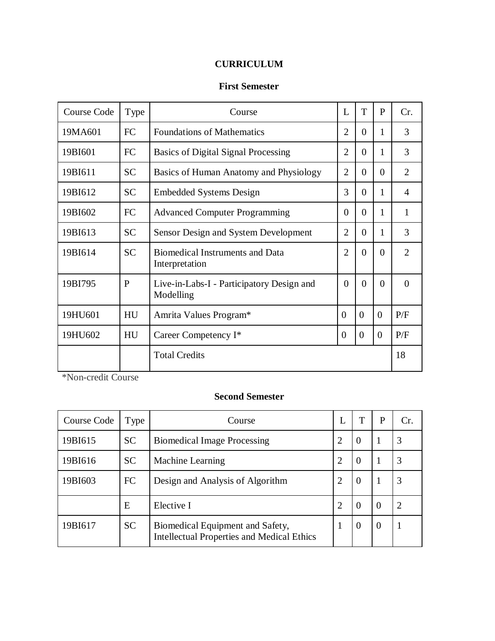# **CURRICULUM**

# **First Semester**

| <b>Course Code</b> | Type      | Course                                                   | L              | T              | P              | Cr.            |
|--------------------|-----------|----------------------------------------------------------|----------------|----------------|----------------|----------------|
| 19MA601            | <b>FC</b> | <b>Foundations of Mathematics</b>                        | $\overline{2}$ | $\Omega$       | 1              | 3              |
| 19BI601            | <b>FC</b> | <b>Basics of Digital Signal Processing</b>               | $\overline{2}$ | $\Omega$       | 1              | 3              |
| 19BI611            | <b>SC</b> | Basics of Human Anatomy and Physiology                   | $\overline{2}$ | 0              | $\Omega$       | $\overline{2}$ |
| 19BI612            | <b>SC</b> | <b>Embedded Systems Design</b>                           | 3              | 0              |                | 4              |
| 19BI602            | <b>FC</b> | <b>Advanced Computer Programming</b>                     | $\Omega$       | $\theta$       | 1              | 1              |
| 19BI613            | <b>SC</b> | Sensor Design and System Development                     | $\overline{2}$ | $\overline{0}$ | 1              | 3              |
| 19BI614            | <b>SC</b> | <b>Biomedical Instruments and Data</b><br>Interpretation | $\overline{2}$ | $\Omega$       | $\Omega$       | $\overline{2}$ |
| 19BI795            | P         | Live-in-Labs-I - Participatory Design and<br>Modelling   | $\theta$       | $\Omega$       | $\Omega$       | $\Omega$       |
| 19HU601            | HU        | Amrita Values Program*                                   | $\Omega$       | $\theta$       | $\theta$       | P/F            |
| 19HU602            | HU        | Career Competency I*                                     | $\Omega$       | $\overline{0}$ | $\overline{0}$ | P/F            |
|                    |           | <b>Total Credits</b>                                     |                |                |                | 18             |

\*Non-credit Course

# **Second Semester**

| Course Code | Type      | Course                                                                                | L              |          | P        | Cr.                   |
|-------------|-----------|---------------------------------------------------------------------------------------|----------------|----------|----------|-----------------------|
| 19BI615     | <b>SC</b> | <b>Biomedical Image Processing</b>                                                    | $\overline{2}$ | $\theta$ |          | 3                     |
| 19BI616     | <b>SC</b> | <b>Machine Learning</b>                                                               | $\overline{2}$ | $\theta$ |          | 3                     |
| 19BI603     | <b>FC</b> | Design and Analysis of Algorithm                                                      | $\overline{2}$ | $\Omega$ |          | 3                     |
|             | E         | Elective I                                                                            | 2              | $\theta$ | $\Omega$ | $\mathcal{D}_{\cdot}$ |
| 19BI617     | <b>SC</b> | Biomedical Equipment and Safety,<br><b>Intellectual Properties and Medical Ethics</b> |                | $\theta$ | $\Omega$ |                       |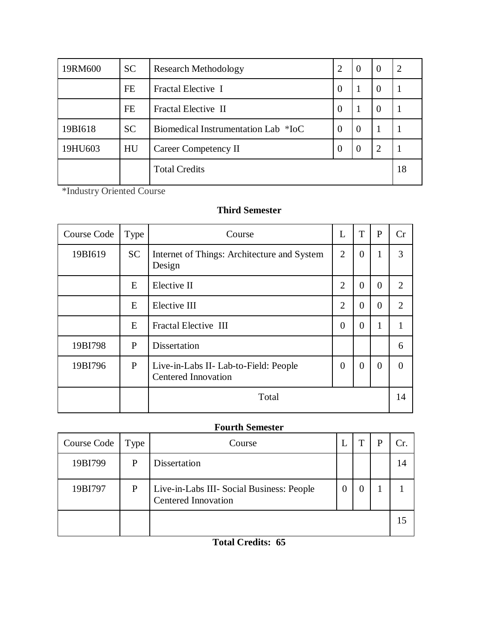| 19RM600 | <b>SC</b> | Research Methodology                |          | -0       | $\theta$       | 2  |
|---------|-----------|-------------------------------------|----------|----------|----------------|----|
|         | FE        | Fractal Elective I                  | $\theta$ |          | $\theta$       |    |
|         | FE        | Fractal Elective II                 | $\Omega$ |          | $\theta$       |    |
| 19BI618 | <b>SC</b> | Biomedical Instrumentation Lab *IoC | $\Omega$ | $\Omega$ |                |    |
| 19HU603 | HU        | <b>Career Competency II</b>         | $\Omega$ | $\Omega$ | $\overline{2}$ |    |
|         |           | <b>Total Credits</b>                |          |          |                | 18 |

\*Industry Oriented Course

# **Third Semester**

| Course Code | Type         | Course                                                              | L              | T        | P        | Cr             |
|-------------|--------------|---------------------------------------------------------------------|----------------|----------|----------|----------------|
| 19BI619     | <b>SC</b>    | Internet of Things: Architecture and System<br>Design               | $\overline{2}$ | $\theta$ | 1        | 3              |
|             | E            | Elective II                                                         | $\overline{2}$ | $\theta$ | $\theta$ | $\overline{2}$ |
|             | E            | Elective III                                                        | $\overline{2}$ | $\Omega$ | $\theta$ | 2              |
|             | E            | Fractal Elective III                                                | $\Omega$       | $\Omega$ | 1        | 1              |
| 19BI798     | P            | Dissertation                                                        |                |          |          | 6              |
| 19BI796     | $\mathbf{P}$ | Live-in-Labs II- Lab-to-Field: People<br><b>Centered Innovation</b> | $\Omega$       | $\Omega$ | $\Omega$ | $\Omega$       |
|             |              | Total                                                               |                |          |          | 14             |

# **Fourth Semester**

| Course Code | Type | Course                                                                  |  |    |
|-------------|------|-------------------------------------------------------------------------|--|----|
| 19BI799     | P    | Dissertation                                                            |  | 14 |
| 19BI797     | P    | Live-in-Labs III- Social Business: People<br><b>Centered Innovation</b> |  |    |
|             |      |                                                                         |  | 15 |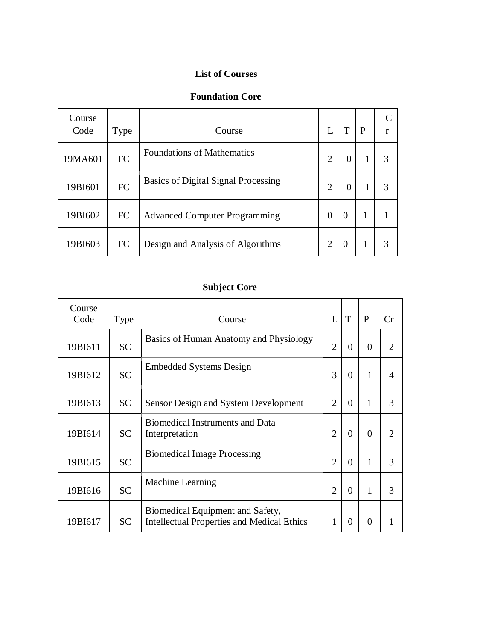# **List of Courses**

# **Foundation Core**

| Course<br>Code | Type      | Course                                     |   | Т              | P |   |
|----------------|-----------|--------------------------------------------|---|----------------|---|---|
| 19MA601        | FC        | <b>Foundations of Mathematics</b>          | っ | $\Omega$       |   | 3 |
| 19BI601        | <b>FC</b> | <b>Basics of Digital Signal Processing</b> | っ | $\overline{0}$ |   | 3 |
| 19BI602        | FC        | <b>Advanced Computer Programming</b>       | 0 | 0              |   |   |
| 19BI603        | FC        | Design and Analysis of Algorithms          | ി | 0              |   |   |

# **Subject Core**

| Course<br>Code | Type      | Course                                                                                | L              | T        | P              | Cr             |
|----------------|-----------|---------------------------------------------------------------------------------------|----------------|----------|----------------|----------------|
| 19BI611        | <b>SC</b> | Basics of Human Anatomy and Physiology                                                | $\overline{2}$ | $\Omega$ | $\overline{0}$ | $\mathfrak{D}$ |
| 19BI612        | <b>SC</b> | <b>Embedded Systems Design</b>                                                        | 3              | $\Omega$ | 1              | $\overline{A}$ |
| 19BI613        | <b>SC</b> | Sensor Design and System Development                                                  | 2              | $\Omega$ | 1              | 3              |
| 19BI614        | <b>SC</b> | <b>Biomedical Instruments and Data</b><br>Interpretation                              | $\overline{2}$ | $\Omega$ | $\overline{0}$ | 2              |
| 19BI615        | <b>SC</b> | <b>Biomedical Image Processing</b>                                                    | $\overline{2}$ | $\theta$ | 1              | 3              |
| 19BI616        | <b>SC</b> | Machine Learning                                                                      | $\overline{2}$ | $\Omega$ | 1              | 3              |
| 19BI617        | <b>SC</b> | Biomedical Equipment and Safety,<br><b>Intellectual Properties and Medical Ethics</b> |                | $\Omega$ | 0              |                |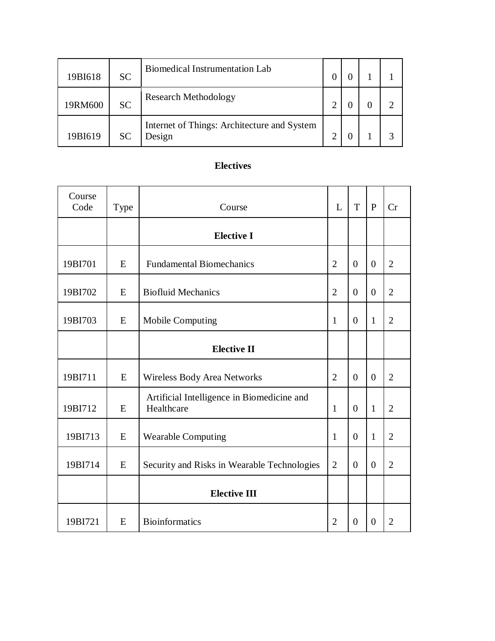| 19BI618 | <b>SC</b> | <b>Biomedical Instrumentation Lab</b>                 |  |  |
|---------|-----------|-------------------------------------------------------|--|--|
| 19RM600 | <b>SC</b> | <b>Research Methodology</b>                           |  |  |
| 19BI619 | <b>SC</b> | Internet of Things: Architecture and System<br>Design |  |  |

# **Electives**

| Course<br>Code | Type | Course                                                   | L              | T              | $\mathbf{P}$ | Cr             |
|----------------|------|----------------------------------------------------------|----------------|----------------|--------------|----------------|
|                |      | <b>Elective I</b>                                        |                |                |              |                |
| 19BI701        | E    | <b>Fundamental Biomechanics</b>                          | $\overline{2}$ | $\theta$       | $\Omega$     | $\overline{2}$ |
| 19BI702        | E    | <b>Biofluid Mechanics</b>                                | $\overline{2}$ | $\theta$       | $\Omega$     | $\overline{2}$ |
| 19BI703        | E    | <b>Mobile Computing</b>                                  | 1              | $\overline{0}$ | $\mathbf{1}$ | $\overline{2}$ |
|                |      | <b>Elective II</b>                                       |                |                |              |                |
| 19BI711        | E    | Wireless Body Area Networks                              | $\overline{2}$ | $\overline{0}$ | $\Omega$     | $\overline{2}$ |
| 19BI712        | E    | Artificial Intelligence in Biomedicine and<br>Healthcare | 1              | $\theta$       | $\mathbf{1}$ | $\overline{2}$ |
| 19BI713        | E    | <b>Wearable Computing</b>                                | $\mathbf{1}$   | $\theta$       | $\mathbf{1}$ | $\overline{2}$ |
| 19BI714        | E    | Security and Risks in Wearable Technologies              | $\overline{2}$ | $\theta$       | $\Omega$     | $\overline{2}$ |
|                |      | <b>Elective III</b>                                      |                |                |              |                |
| 19BI721        | E    | <b>Bioinformatics</b>                                    | 2              | 0              | $\Omega$     | 2              |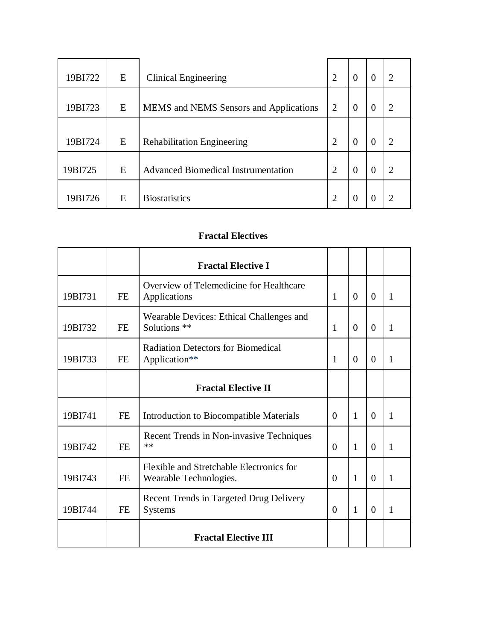| 19BI722 | E | Clinical Engineering                       | $\overline{2}$ | $\Omega$ | $\Omega$         | $\overline{2}$ |
|---------|---|--------------------------------------------|----------------|----------|------------------|----------------|
| 19BI723 | E | MEMS and NEMS Sensors and Applications     | $\overline{2}$ | $\Omega$ | $\left( \right)$ | റ              |
| 19BI724 | E | <b>Rehabilitation Engineering</b>          | $\overline{2}$ | $\Omega$ | $\theta$         | $\mathcal{D}$  |
| 19BI725 | E | <b>Advanced Biomedical Instrumentation</b> | $\overline{2}$ | $\Omega$ | $\Omega$         | $\mathcal{D}$  |
| 19BI726 | E | <b>Biostatistics</b>                       | റ              |          |                  |                |

# **Fractal Electives**

|         |           | <b>Fractal Elective I</b>                                          |              |          |          |              |
|---------|-----------|--------------------------------------------------------------------|--------------|----------|----------|--------------|
| 19BI731 | FE        | Overview of Telemedicine for Healthcare<br>Applications            | $\mathbf{1}$ | $\Omega$ | $\Omega$ | $\mathbf{1}$ |
| 19BI732 | FE        | Wearable Devices: Ethical Challenges and<br>Solutions **           | $\mathbf{1}$ | $\Omega$ | $\Omega$ | 1            |
| 19BI733 | FE        | <b>Radiation Detectors for Biomedical</b><br>Application**         | 1            | $\Omega$ | $\Omega$ | 1            |
|         |           | <b>Fractal Elective II</b>                                         |              |          |          |              |
| 19BI741 | <b>FE</b> | Introduction to Biocompatible Materials                            | $\Omega$     | 1        | $\Omega$ | 1            |
| 19BI742 | <b>FE</b> | Recent Trends in Non-invasive Techniques<br>**                     | $\Omega$     | 1        | $\Omega$ | $\mathbf{1}$ |
| 19BI743 | <b>FE</b> | Flexible and Stretchable Electronics for<br>Wearable Technologies. | $\Omega$     | 1        | $\Omega$ | 1            |
| 19BI744 | <b>FE</b> | Recent Trends in Targeted Drug Delivery<br><b>Systems</b>          | $\Omega$     | 1        | $\Omega$ | 1            |
|         |           | <b>Fractal Elective III</b>                                        |              |          |          |              |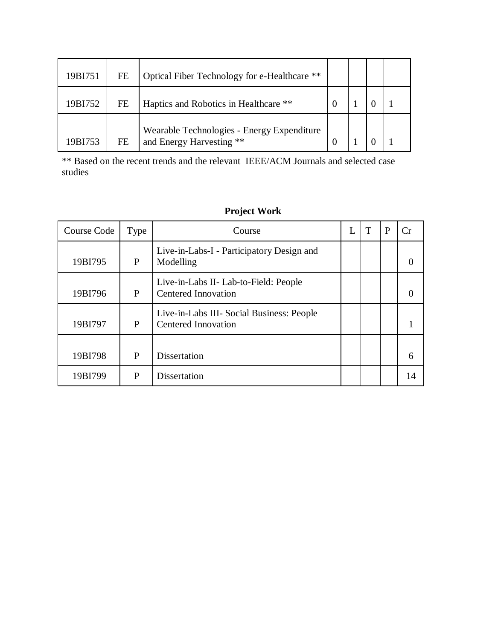| 19BI751 | FE        | Optical Fiber Technology for e-Healthcare **                           |  |  |
|---------|-----------|------------------------------------------------------------------------|--|--|
| 19BI752 | FE        | Haptics and Robotics in Healthcare **                                  |  |  |
| 19BI753 | <b>FE</b> | Wearable Technologies - Energy Expenditure<br>and Energy Harvesting ** |  |  |

\*\* Based on the recent trends and the relevant IEEE/ACM Journals and selected case studies

| Course Code | Type | Course                                                                  |  | P |    |
|-------------|------|-------------------------------------------------------------------------|--|---|----|
| 19BI795     | P    | Live-in-Labs-I - Participatory Design and<br>Modelling                  |  |   |    |
| 19BI796     | P    | Live-in-Labs II- Lab-to-Field: People<br><b>Centered Innovation</b>     |  |   |    |
| 19BI797     | P    | Live-in-Labs III- Social Business: People<br><b>Centered Innovation</b> |  |   |    |
| 19BI798     | P    | Dissertation                                                            |  |   | 6  |
| 19BI799     | P    | Dissertation                                                            |  |   | 14 |

# **Project Work**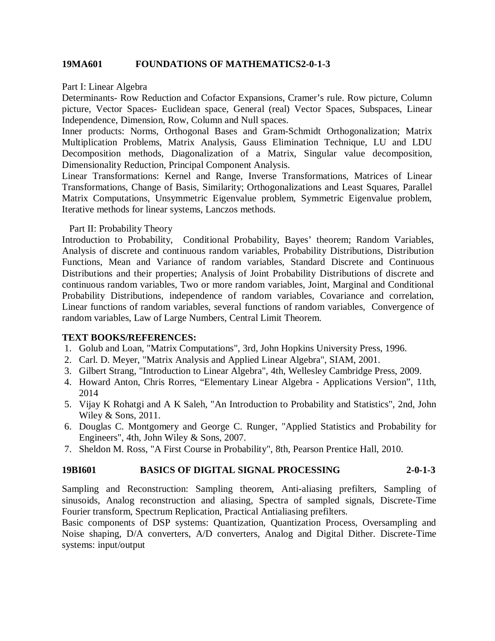#### **19MA601 FOUNDATIONS OF MATHEMATICS2-0-1-3**

Part I: Linear Algebra

Determinants- Row Reduction and Cofactor Expansions, Cramer's rule. Row picture, Column picture, Vector Spaces- Euclidean space, General (real) Vector Spaces, Subspaces, Linear Independence, Dimension, Row, Column and Null spaces.

Inner products: Norms, Orthogonal Bases and Gram-Schmidt Orthogonalization; Matrix Multiplication Problems, Matrix Analysis, Gauss Elimination Technique, LU and LDU Decomposition methods, Diagonalization of a Matrix, Singular value decomposition, Dimensionality Reduction, Principal Component Analysis.

Linear Transformations: Kernel and Range, Inverse Transformations, Matrices of Linear Transformations, Change of Basis, Similarity; Orthogonalizations and Least Squares, Parallel Matrix Computations, Unsymmetric Eigenvalue problem, Symmetric Eigenvalue problem, Iterative methods for linear systems, Lanczos methods.

#### Part II: Probability Theory

Introduction to Probability, Conditional Probability, Bayes' theorem; Random Variables, Analysis of discrete and continuous random variables, Probability Distributions, Distribution Functions, Mean and Variance of random variables, Standard Discrete and Continuous Distributions and their properties; Analysis of Joint Probability Distributions of discrete and continuous random variables, Two or more random variables, Joint, Marginal and Conditional Probability Distributions, independence of random variables, Covariance and correlation, Linear functions of random variables, several functions of random variables, Convergence of random variables, Law of Large Numbers, Central Limit Theorem.

#### **TEXT BOOKS/REFERENCES:**

- 1. Golub and Loan, "Matrix Computations", 3rd, John Hopkins University Press, 1996.
- 2. Carl. D. Meyer, "Matrix Analysis and Applied Linear Algebra", SIAM, 2001.
- 3. Gilbert Strang, "Introduction to Linear Algebra", 4th, Wellesley Cambridge Press, 2009.
- 4. Howard Anton, Chris Rorres, "Elementary Linear Algebra Applications Version", 11th, 2014
- 5. Vijay K Rohatgi and A K Saleh, "An Introduction to Probability and Statistics", 2nd, John Wiley & Sons, 2011.
- 6. Douglas C. Montgomery and George C. Runger, "Applied Statistics and Probability for Engineers", 4th, John Wiley & Sons, 2007.
- 7. Sheldon M. Ross, "A First Course in Probability", 8th, Pearson Prentice Hall, 2010.

#### **19BI601 BASICS OF DIGITAL SIGNAL PROCESSING 2-0-1-3**

Sampling and Reconstruction: Sampling theorem, Anti-aliasing prefilters, Sampling of sinusoids, Analog reconstruction and aliasing, Spectra of sampled signals, Discrete-Time Fourier transform, Spectrum Replication, Practical Antialiasing prefilters.

Basic components of DSP systems: Quantization, Quantization Process, Oversampling and Noise shaping, D/A converters, A/D converters, Analog and Digital Dither. Discrete-Time systems: input/output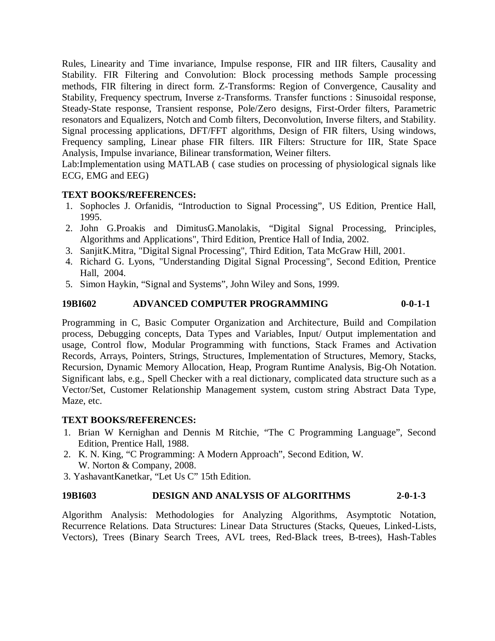Rules, Linearity and Time invariance, Impulse response, FIR and IIR filters, Causality and Stability. FIR Filtering and Convolution: Block processing methods Sample processing methods, FIR filtering in direct form. Z-Transforms: Region of Convergence, Causality and Stability, Frequency spectrum, Inverse z-Transforms. Transfer functions : Sinusoidal response, Steady-State response, Transient response, Pole/Zero designs, First-Order filters, Parametric resonators and Equalizers, Notch and Comb filters, Deconvolution, Inverse filters, and Stability. Signal processing applications, DFT/FFT algorithms, Design of FIR filters, Using windows, Frequency sampling, Linear phase FIR filters. IIR Filters: Structure for IIR, State Space Analysis, Impulse invariance, Bilinear transformation, Weiner filters.

Lab:Implementation using MATLAB ( case studies on processing of physiological signals like ECG, EMG and EEG)

## **TEXT BOOKS/REFERENCES:**

- 1. Sophocles J. Orfanidis, "Introduction to Signal Processing", US Edition, Prentice Hall, 1995.
- 2. John G.Proakis and DimitusG.Manolakis, "Digital Signal Processing, Principles, Algorithms and Applications", Third Edition, Prentice Hall of India, 2002.
- 3. SanjitK.Mitra, "Digital Signal Processing", Third Edition, Tata McGraw Hill, 2001.
- 4. Richard G. Lyons, "Understanding Digital Signal Processing", Second Edition, Prentice Hall, 2004.
- 5. Simon Haykin, "Signal and Systems", John Wiley and Sons, 1999.

## **19BI602 ADVANCED COMPUTER PROGRAMMING 0-0-1-1**

Programming in C, Basic Computer Organization and Architecture, Build and Compilation process, Debugging concepts, Data Types and Variables, Input/ Output implementation and usage, Control flow, Modular Programming with functions, Stack Frames and Activation Records, Arrays, Pointers, Strings, Structures, Implementation of Structures, Memory, Stacks, Recursion, Dynamic Memory Allocation, Heap, Program Runtime Analysis, Big-Oh Notation. Significant labs, e.g., Spell Checker with a real dictionary, complicated data structure such as a Vector/Set, Customer Relationship Management system, custom string Abstract Data Type, Maze, etc.

#### **TEXT BOOKS/REFERENCES:**

- 1. Brian W Kernighan and Dennis M Ritchie, "The C Programming Language", Second Edition, Prentice Hall, 1988.
- 2. K. N. King, "C Programming: A Modern Approach", Second Edition, W. W. Norton & Company, 2008.
- 3. YashavantKanetkar, "Let Us C" 15th Edition.

# **19BI603 DESIGN AND ANALYSIS OF ALGORITHMS 2-0-1-3**

Algorithm Analysis: Methodologies for Analyzing Algorithms, Asymptotic Notation, Recurrence Relations. Data Structures: Linear Data Structures (Stacks, Queues, Linked-Lists, Vectors), Trees (Binary Search Trees, AVL trees, Red-Black trees, B-trees), Hash-Tables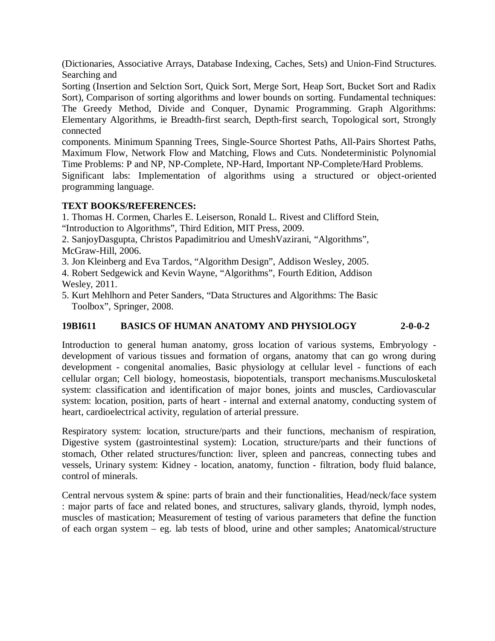(Dictionaries, Associative Arrays, Database Indexing, Caches, Sets) and Union-Find Structures. Searching and

Sorting (Insertion and Selction Sort, Quick Sort, Merge Sort, Heap Sort, Bucket Sort and Radix Sort), Comparison of sorting algorithms and lower bounds on sorting. Fundamental techniques: The Greedy Method, Divide and Conquer, Dynamic Programming. Graph Algorithms: Elementary Algorithms, ie Breadth-first search, Depth-first search, Topological sort, Strongly connected

components. Minimum Spanning Trees, Single-Source Shortest Paths, All-Pairs Shortest Paths, Maximum Flow, Network Flow and Matching, Flows and Cuts. Nondeterministic Polynomial Time Problems: P and NP, NP-Complete, NP-Hard, Important NP-Complete/Hard Problems.

Significant labs: Implementation of algorithms using a structured or object-oriented programming language.

## **TEXT BOOKS/REFERENCES:**

1. Thomas H. Cormen, Charles E. Leiserson, Ronald L. Rivest and Clifford Stein, "Introduction to Algorithms", Third Edition, MIT Press, 2009.

2. SanjoyDasgupta, Christos Papadimitriou and UmeshVazirani, "Algorithms", McGraw-Hill, 2006.

3. Jon Kleinberg and Eva Tardos, "Algorithm Design", Addison Wesley, 2005.

4. Robert Sedgewick and Kevin Wayne, "Algorithms", Fourth Edition, Addison Wesley, 2011.

5. Kurt Mehlhorn and Peter Sanders, "Data Structures and Algorithms: The Basic Toolbox", Springer, 2008.

# **19BI611 BASICS OF HUMAN ANATOMY AND PHYSIOLOGY 2-0-0-2**

Introduction to general human anatomy, gross location of various systems, Embryology development of various tissues and formation of organs, anatomy that can go wrong during development - congenital anomalies, Basic physiology at cellular level - functions of each cellular organ; Cell biology, homeostasis, biopotentials, transport mechanisms.Musculosketal system: classification and identification of major bones, joints and muscles, Cardiovascular system: location, position, parts of heart - internal and external anatomy, conducting system of heart, cardioelectrical activity, regulation of arterial pressure.

Respiratory system: location, structure/parts and their functions, mechanism of respiration, Digestive system (gastrointestinal system): Location, structure/parts and their functions of stomach, Other related structures/function: liver, spleen and pancreas, connecting tubes and vessels, Urinary system: Kidney - location, anatomy, function - filtration, body fluid balance, control of minerals.

Central nervous system & spine: parts of brain and their functionalities, Head/neck/face system : major parts of face and related bones, and structures, salivary glands, thyroid, lymph nodes, muscles of mastication; Measurement of testing of various parameters that define the function of each organ system – eg. lab tests of blood, urine and other samples; Anatomical/structure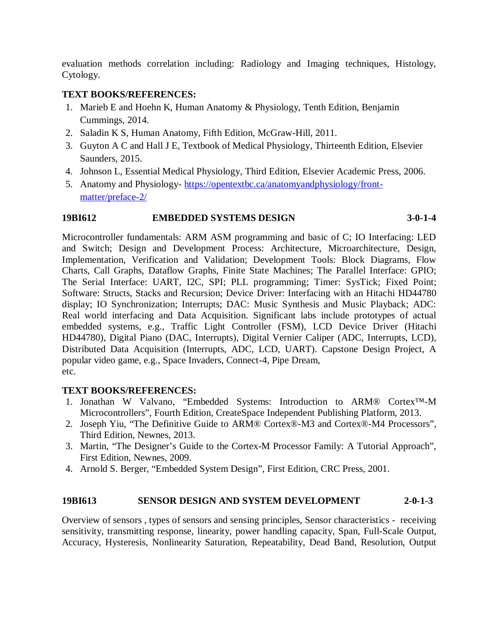evaluation methods correlation including: Radiology and Imaging techniques, Histology, Cytology.

# **TEXT BOOKS/REFERENCES:**

- 1. Marieb E and Hoehn K, Human Anatomy & Physiology, Tenth Edition, Benjamin Cummings, 2014.
- 2. Saladin K S, Human Anatomy, Fifth Edition, McGraw-Hill, 2011.
- 3. Guyton A C and Hall J E, Textbook of Medical Physiology, Thirteenth Edition, Elsevier Saunders, 2015.
- 4. Johnson L, Essential Medical Physiology, Third Edition, Elsevier Academic Press, 2006.
- 5. Anatomy and Physiology- https://opentextbc.ca/anatomyandphysiology/frontmatter/preface-2/

# **19BI612 EMBEDDED SYSTEMS DESIGN 3-0-1-4**

Microcontroller fundamentals: ARM ASM programming and basic of C; IO Interfacing: LED and Switch; Design and Development Process: Architecture, Microarchitecture, Design, Implementation, Verification and Validation; Development Tools: Block Diagrams, Flow Charts, Call Graphs, Dataflow Graphs, Finite State Machines; The Parallel Interface: GPIO; The Serial Interface: UART, I2C, SPI; PLL programming; Timer: SysTick; Fixed Point; Software: Structs, Stacks and Recursion; Device Driver: Interfacing with an Hitachi HD44780 display; IO Synchronization; Interrupts; DAC: Music Synthesis and Music Playback; ADC: Real world interfacing and Data Acquisition. Significant labs include prototypes of actual embedded systems, e.g., Traffic Light Controller (FSM), LCD Device Driver (Hitachi HD44780), Digital Piano (DAC, Interrupts), Digital Vernier Caliper (ADC, Interrupts, LCD), Distributed Data Acquisition (Interrupts, ADC, LCD, UART). Capstone Design Project, A popular video game, e.g., Space Invaders, Connect-4, Pipe Dream, etc.

# **TEXT BOOKS/REFERENCES:**

- 1. Jonathan W Valvano, "Embedded Systems: Introduction to ARM® Cortex™-M Microcontrollers", Fourth Edition, CreateSpace Independent Publishing Platform, 2013.
- 2. Joseph Yiu, "The Definitive Guide to ARM® Cortex®-M3 and Cortex®-M4 Processors", Third Edition, Newnes, 2013.
- 3. Martin, "The Designer's Guide to the Cortex-M Processor Family: A Tutorial Approach", First Edition, Newnes, 2009.
- 4. Arnold S. Berger, "Embedded System Design", First Edition, CRC Press, 2001.

# **19BI613 SENSOR DESIGN AND SYSTEM DEVELOPMENT 2-0-1-3**

Overview of sensors , types of sensors and sensing principles, Sensor characteristics - receiving sensitivity, transmitting response, linearity, power handling capacity, Span, Full-Scale Output, Accuracy, Hysteresis, Nonlinearity Saturation, Repeatability, Dead Band, Resolution, Output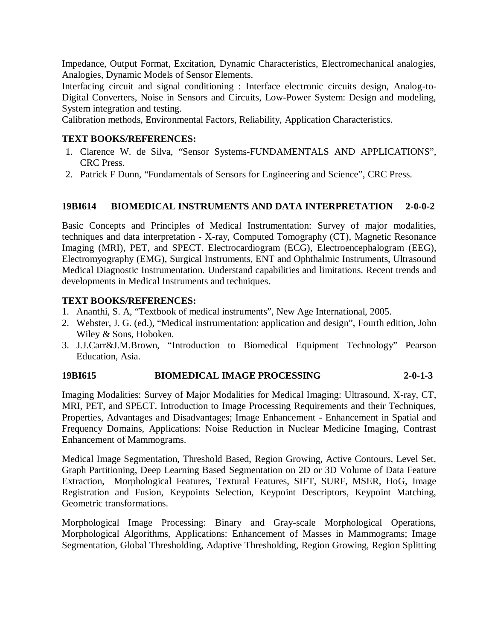Impedance, Output Format, Excitation, Dynamic Characteristics, Electromechanical analogies, Analogies, Dynamic Models of Sensor Elements.

Interfacing circuit and signal conditioning : Interface electronic circuits design, Analog-to-Digital Converters, Noise in Sensors and Circuits, Low-Power System: Design and modeling, System integration and testing.

Calibration methods, Environmental Factors, Reliability, Application Characteristics.

## **TEXT BOOKS/REFERENCES:**

- 1. Clarence W. de Silva, "Sensor Systems-FUNDAMENTALS AND APPLICATIONS", CRC Press.
- 2. Patrick F Dunn, "Fundamentals of Sensors for Engineering and Science", CRC Press.

#### **19BI614 BIOMEDICAL INSTRUMENTS AND DATA INTERPRETATION 2-0-0-2**

Basic Concepts and Principles of Medical Instrumentation: Survey of major modalities, techniques and data interpretation - X-ray, Computed Tomography (CT), Magnetic Resonance Imaging (MRI), PET, and SPECT. Electrocardiogram (ECG), Electroencephalogram (EEG), Electromyography (EMG), Surgical Instruments, ENT and Ophthalmic Instruments, Ultrasound Medical Diagnostic Instrumentation. Understand capabilities and limitations. Recent trends and developments in Medical Instruments and techniques.

## **TEXT BOOKS/REFERENCES:**

- 1. Ananthi, S. A, "Textbook of medical instruments", New Age International, 2005.
- 2. Webster, J. G. (ed.), "Medical instrumentation: application and design", Fourth edition, John Wiley & Sons, Hoboken.
- 3. J.J.Carr&J.M.Brown, "Introduction to Biomedical Equipment Technology" Pearson Education, Asia.

#### **19BI615 BIOMEDICAL IMAGE PROCESSING 2-0-1-3**

Imaging Modalities: Survey of Major Modalities for Medical Imaging: Ultrasound, X-ray, CT, MRI, PET, and SPECT. Introduction to Image Processing Requirements and their Techniques, Properties, Advantages and Disadvantages; Image Enhancement - Enhancement in Spatial and Frequency Domains, Applications: Noise Reduction in Nuclear Medicine Imaging, Contrast Enhancement of Mammograms.

Medical Image Segmentation, Threshold Based, Region Growing, Active Contours, Level Set, Graph Partitioning, Deep Learning Based Segmentation on 2D or 3D Volume of Data Feature Extraction, Morphological Features, Textural Features, SIFT, SURF, MSER, HoG, Image Registration and Fusion, Keypoints Selection, Keypoint Descriptors, Keypoint Matching, Geometric transformations.

Morphological Image Processing: Binary and Gray-scale Morphological Operations, Morphological Algorithms, Applications: Enhancement of Masses in Mammograms; Image Segmentation, Global Thresholding, Adaptive Thresholding, Region Growing, Region Splitting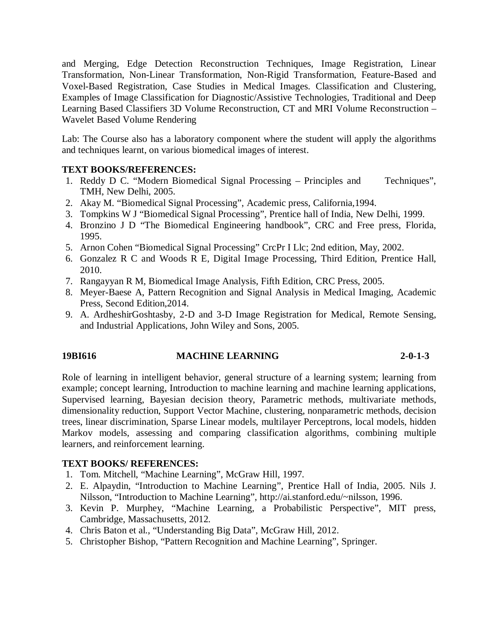and Merging, Edge Detection Reconstruction Techniques, Image Registration, Linear Transformation, Non-Linear Transformation, Non-Rigid Transformation, Feature-Based and Voxel-Based Registration, Case Studies in Medical Images. Classification and Clustering, Examples of Image Classification for Diagnostic/Assistive Technologies, Traditional and Deep Learning Based Classifiers 3D Volume Reconstruction, CT and MRI Volume Reconstruction – Wavelet Based Volume Rendering

Lab: The Course also has a laboratory component where the student will apply the algorithms and techniques learnt, on various biomedical images of interest.

## **TEXT BOOKS/REFERENCES:**

- 1. Reddy D C. "Modern Biomedical Signal Processing Principles and Techniques", TMH, New Delhi, 2005.
- 2. Akay M. "Biomedical Signal Processing", Academic press, California,1994.
- 3. Tompkins W J "Biomedical Signal Processing", Prentice hall of India, New Delhi, 1999.
- 4. Bronzino J D "The Biomedical Engineering handbook", CRC and Free press, Florida, 1995.
- 5. Arnon Cohen "Biomedical Signal Processing" CrcPr I Llc; 2nd edition, May, 2002.
- 6. Gonzalez R C and Woods R E, Digital Image Processing, Third Edition, Prentice Hall, 2010.
- 7. Rangayyan R M, Biomedical Image Analysis, Fifth Edition, CRC Press, 2005.
- 8. Meyer-Baese A, Pattern Recognition and Signal Analysis in Medical Imaging, Academic Press, Second Edition,2014.
- 9. A. ArdheshirGoshtasby, 2-D and 3-D Image Registration for Medical, Remote Sensing, and Industrial Applications, John Wiley and Sons, 2005.

# **19BI616 MACHINE LEARNING 2-0-1-3**

Role of learning in intelligent behavior, general structure of a learning system; learning from example; concept learning, Introduction to machine learning and machine learning applications, Supervised learning, Bayesian decision theory, Parametric methods, multivariate methods, dimensionality reduction, Support Vector Machine, clustering, nonparametric methods, decision trees, linear discrimination, Sparse Linear models, multilayer Perceptrons, local models, hidden Markov models, assessing and comparing classification algorithms, combining multiple learners, and reinforcement learning.

- 1. Tom. Mitchell, "Machine Learning", McGraw Hill, 1997.
- 2. E. Alpaydin, "Introduction to Machine Learning", Prentice Hall of India, 2005. Nils J. Nilsson, "Introduction to Machine Learning", http://ai.stanford.edu/~nilsson, 1996.
- 3. Kevin P. Murphey, "Machine Learning, a Probabilistic Perspective", MIT press, Cambridge, Massachusetts, 2012.
- 4. Chris Baton et al., "Understanding Big Data", McGraw Hill, 2012.
- 5. Christopher Bishop, "Pattern Recognition and Machine Learning", Springer.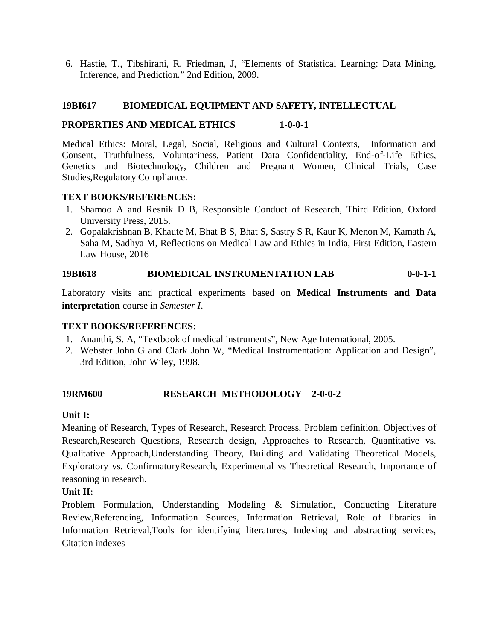6. Hastie, T., Tibshirani, R, Friedman, J, "Elements of Statistical Learning: Data Mining, Inference, and Prediction." 2nd Edition, 2009.

## **19BI617 BIOMEDICAL EQUIPMENT AND SAFETY, INTELLECTUAL**

#### **PROPERTIES AND MEDICAL ETHICS 1-0-0-1**

Medical Ethics: Moral, Legal, Social, Religious and Cultural Contexts, Information and Consent, Truthfulness, Voluntariness, Patient Data Confidentiality, End-of-Life Ethics, Genetics and Biotechnology, Children and Pregnant Women, Clinical Trials, Case Studies,Regulatory Compliance.

## **TEXT BOOKS/REFERENCES:**

- 1. Shamoo A and Resnik D B, Responsible Conduct of Research, Third Edition, Oxford University Press, 2015.
- 2. Gopalakrishnan B, Khaute M, Bhat B S, Bhat S, Sastry S R, Kaur K, Menon M, Kamath A, Saha M, Sadhya M, Reflections on Medical Law and Ethics in India, First Edition, Eastern Law House, 2016

## **19BI618 BIOMEDICAL INSTRUMENTATION LAB 0-0-1-1**

Laboratory visits and practical experiments based on **Medical Instruments and Data interpretation** course in *Semester I*.

# **TEXT BOOKS/REFERENCES:**

- 1. Ananthi, S. A, "Textbook of medical instruments", New Age International, 2005.
- 2. Webster John G and Clark John W, "Medical Instrumentation: Application and Design", 3rd Edition, John Wiley, 1998.

# **19RM600 RESEARCH METHODOLOGY 2-0-0-2**

#### **Unit I:**

Meaning of Research, Types of Research, Research Process, Problem definition, Objectives of Research,Research Questions, Research design, Approaches to Research, Quantitative vs. Qualitative Approach,Understanding Theory, Building and Validating Theoretical Models, Exploratory vs. ConfirmatoryResearch, Experimental vs Theoretical Research, Importance of reasoning in research.

#### **Unit II:**

Problem Formulation, Understanding Modeling & Simulation, Conducting Literature Review,Referencing, Information Sources, Information Retrieval, Role of libraries in Information Retrieval,Tools for identifying literatures, Indexing and abstracting services, Citation indexes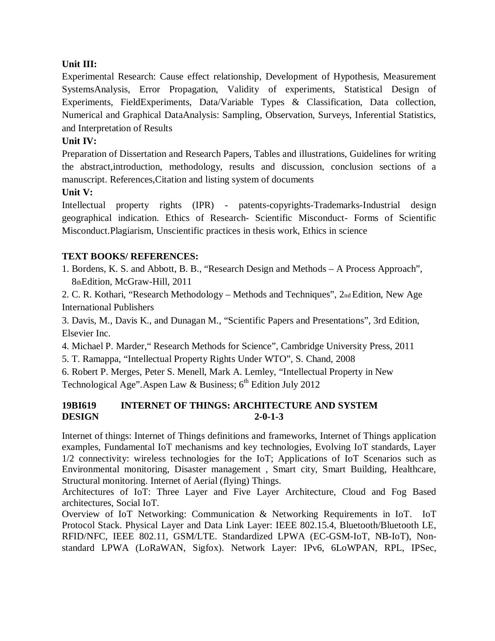# **Unit III:**

Experimental Research: Cause effect relationship, Development of Hypothesis, Measurement SystemsAnalysis, Error Propagation, Validity of experiments, Statistical Design of Experiments, FieldExperiments, Data/Variable Types & Classification, Data collection, Numerical and Graphical DataAnalysis: Sampling, Observation, Surveys, Inferential Statistics, and Interpretation of Results

# **Unit IV:**

Preparation of Dissertation and Research Papers, Tables and illustrations, Guidelines for writing the abstract,introduction, methodology, results and discussion, conclusion sections of a manuscript. References,Citation and listing system of documents

# **Unit V:**

Intellectual property rights (IPR) - patents-copyrights-Trademarks-Industrial design geographical indication. Ethics of Research- Scientific Misconduct- Forms of Scientific Misconduct.Plagiarism, Unscientific practices in thesis work, Ethics in science

# **TEXT BOOKS/ REFERENCES:**

1. Bordens, K. S. and Abbott, B. B., "Research Design and Methods – A Process Approach", 8thEdition, McGraw-Hill, 2011

2. C. R. Kothari, "Research Methodology – Methods and Techniques", 2nd Edition, New Age International Publishers

3. Davis, M., Davis K., and Dunagan M., "Scientific Papers and Presentations", 3rd Edition, Elsevier Inc.

4. Michael P. Marder," Research Methods for Science", Cambridge University Press, 2011

5. T. Ramappa, "Intellectual Property Rights Under WTO", S. Chand, 2008

6. Robert P. Merges, Peter S. Menell, Mark A. Lemley, "Intellectual Property in New Technological Age". Aspen Law & Business;  $6<sup>th</sup>$  Edition July 2012

# **19BI619 INTERNET OF THINGS: ARCHITECTURE AND SYSTEM DESIGN 2-0-1-3**

Internet of things: Internet of Things definitions and frameworks, Internet of Things application examples, Fundamental IoT mechanisms and key technologies, Evolving IoT standards, Layer 1/2 connectivity: wireless technologies for the IoT; Applications of IoT Scenarios such as Environmental monitoring, Disaster management , Smart city, Smart Building, Healthcare, Structural monitoring. Internet of Aerial (flying) Things.

Architectures of IoT: Three Layer and Five Layer Architecture, Cloud and Fog Based architectures, Social IoT.

Overview of IoT Networking: Communication & Networking Requirements in IoT. IoT Protocol Stack. Physical Layer and Data Link Layer: IEEE 802.15.4, Bluetooth/Bluetooth LE, RFID/NFC, IEEE 802.11, GSM/LTE. Standardized LPWA (EC-GSM-IoT, NB-IoT), Nonstandard LPWA (LoRaWAN, Sigfox). Network Layer: IPv6, 6LoWPAN, RPL, IPSec,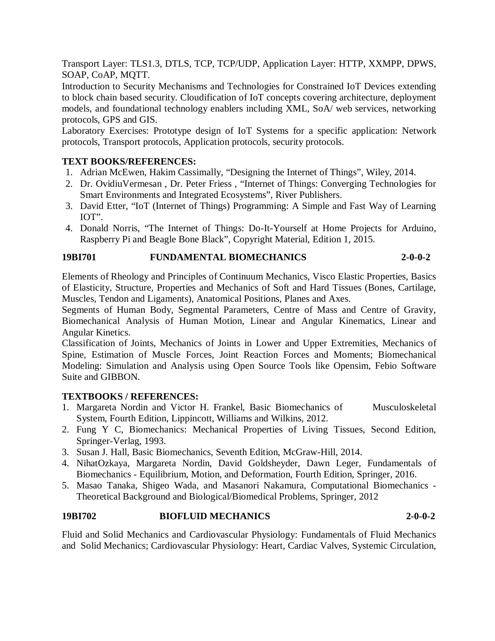Transport Layer: TLS1.3, DTLS, TCP, TCP/UDP, Application Layer: HTTP, XXMPP, DPWS, SOAP, CoAP, MQTT.

Introduction to Security Mechanisms and Technologies for Constrained IoT Devices extending to block chain based security. Cloudification of IoT concepts covering architecture, deployment models, and foundational technology enablers including XML, SoA/ web services, networking protocols, GPS and GIS.

Laboratory Exercises: Prototype design of IoT Systems for a specific application: Network protocols, Transport protocols, Application protocols, security protocols.

# **TEXT BOOKS/REFERENCES:**

- 1. Adrian McEwen, Hakim Cassimally, "Designing the Internet of Things", Wiley, 2014.
- 2. Dr. OvidiuVermesan , Dr. Peter Friess , "Internet of Things: Converging Technologies for Smart Environments and Integrated Ecosystems", River Publishers.
- 3. David Etter, "IoT (Internet of Things) Programming: A Simple and Fast Way of Learning IOT".
- 4. Donald Norris, "The Internet of Things: Do-It-Yourself at Home Projects for Arduino, Raspberry Pi and Beagle Bone Black", Copyright Material, Edition 1, 2015.

# **19BI701 FUNDAMENTAL BIOMECHANICS 2-0-0-2**

Elements of Rheology and Principles of Continuum Mechanics, Visco Elastic Properties, Basics of Elasticity, Structure, Properties and Mechanics of Soft and Hard Tissues (Bones, Cartilage, Muscles, Tendon and Ligaments), Anatomical Positions, Planes and Axes.

Segments of Human Body, Segmental Parameters, Centre of Mass and Centre of Gravity, Biomechanical Analysis of Human Motion, Linear and Angular Kinematics, Linear and Angular Kinetics.

Classification of Joints, Mechanics of Joints in Lower and Upper Extremities, Mechanics of Spine, Estimation of Muscle Forces, Joint Reaction Forces and Moments; Biomechanical Modeling: Simulation and Analysis using Open Source Tools like Opensim, Febio Software Suite and GIBBON.

# **TEXTBOOKS / REFERENCES:**

- 1. Margareta Nordin and Victor H. Frankel, Basic Biomechanics of Musculoskeletal System, Fourth Edition, Lippincott, Williams and Wilkins, 2012.
- 2. Fung Y C, Biomechanics: Mechanical Properties of Living Tissues, Second Edition, Springer-Verlag, 1993.
- 3. Susan J. Hall, Basic Biomechanics, Seventh Edition, McGraw-Hill, 2014.
- 4. NihatOzkaya, Margareta Nordin, David Goldsheyder, Dawn Leger, Fundamentals of Biomechanics - Equilibrium, Motion, and Deformation, Fourth Edition, Springer, 2016.
- 5. Masao Tanaka, Shigeo Wada, and Masanori Nakamura, Computational Biomechanics Theoretical Background and Biological/Biomedical Problems, Springer, 2012

# **19BI702 BIOFLUID MECHANICS 2-0-0-2**

Fluid and Solid Mechanics and Cardiovascular Physiology: Fundamentals of Fluid Mechanics and Solid Mechanics; Cardiovascular Physiology: Heart, Cardiac Valves, Systemic Circulation,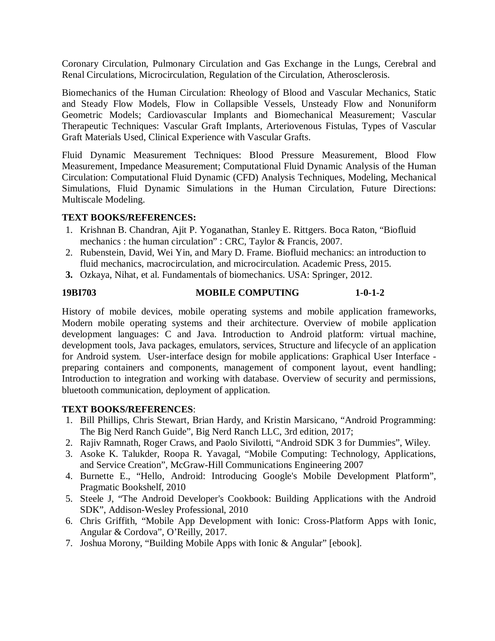Coronary Circulation, Pulmonary Circulation and Gas Exchange in the Lungs, Cerebral and Renal Circulations, Microcirculation, Regulation of the Circulation, Atherosclerosis.

Biomechanics of the Human Circulation: Rheology of Blood and Vascular Mechanics, Static and Steady Flow Models, Flow in Collapsible Vessels, Unsteady Flow and Nonuniform Geometric Models; Cardiovascular Implants and Biomechanical Measurement; Vascular Therapeutic Techniques: Vascular Graft Implants, Arteriovenous Fistulas, Types of Vascular Graft Materials Used, Clinical Experience with Vascular Grafts.

Fluid Dynamic Measurement Techniques: Blood Pressure Measurement, Blood Flow Measurement, Impedance Measurement; Computational Fluid Dynamic Analysis of the Human Circulation: Computational Fluid Dynamic (CFD) Analysis Techniques, Modeling, Mechanical Simulations, Fluid Dynamic Simulations in the Human Circulation, Future Directions: Multiscale Modeling.

## **TEXT BOOKS/REFERENCES:**

- 1. Krishnan B. Chandran, Ajit P. Yoganathan, Stanley E. Rittgers. Boca Raton, "Biofluid mechanics : the human circulation" : CRC, Taylor & Francis, 2007.
- 2. Rubenstein, David, Wei Yin, and Mary D. Frame. Biofluid mechanics: an introduction to fluid mechanics, macrocirculation, and microcirculation. Academic Press, 2015.
- **3.** Ozkaya, Nihat, et al. Fundamentals of biomechanics. USA: Springer, 2012.

# **19BI703 MOBILE COMPUTING 1-0-1-2**

History of mobile devices, mobile operating systems and mobile application frameworks, Modern mobile operating systems and their architecture. Overview of mobile application development languages: C and Java. Introduction to Android platform: virtual machine, development tools, Java packages, emulators, services, Structure and lifecycle of an application for Android system. User-interface design for mobile applications: Graphical User Interface preparing containers and components, management of component layout, event handling; Introduction to integration and working with database. Overview of security and permissions, bluetooth communication, deployment of application.

- 1. Bill Phillips, Chris Stewart, Brian Hardy, and Kristin Marsicano, "Android Programming: The Big Nerd Ranch Guide", Big Nerd Ranch LLC, 3rd edition, 2017;
- 2. Rajiv Ramnath, Roger Craws, and Paolo Sivilotti, "Android SDK 3 for Dummies", Wiley.
- 3. Asoke K. Talukder, Roopa R. Yavagal, "Mobile Computing: Technology, Applications, and Service Creation", McGraw-Hill Communications Engineering 2007
- 4. Burnette E., "Hello, Android: Introducing Google's Mobile Development Platform", Pragmatic Bookshelf, 2010
- 5. Steele J, "The Android Developer's Cookbook: Building Applications with the Android SDK", Addison-Wesley Professional, 2010
- 6. Chris Griffith, "Mobile App Development with Ionic: Cross-Platform Apps with Ionic, Angular & Cordova", O'Reilly, 2017.
- 7. Joshua Morony, "Building Mobile Apps with Ionic & Angular" [ebook].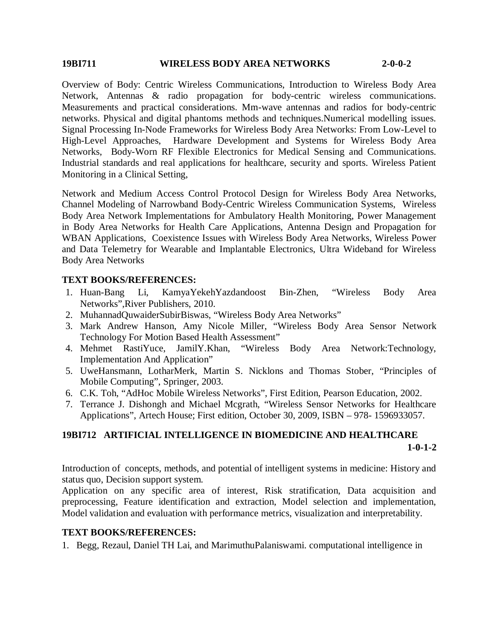#### **19BI711 WIRELESS BODY AREA NETWORKS 2-0-0-2**

Overview of Body: Centric Wireless Communications, Introduction to Wireless Body Area Network, Antennas & radio propagation for body-centric wireless communications. Measurements and practical considerations. Mm-wave antennas and radios for body-centric networks. Physical and digital phantoms methods and techniques.Numerical modelling issues. Signal Processing In-Node Frameworks for Wireless Body Area Networks: From Low-Level to High-Level Approaches, Hardware Development and Systems for Wireless Body Area Networks, Body-Worn RF Flexible Electronics for Medical Sensing and Communications. Industrial standards and real applications for healthcare, security and sports. Wireless Patient Monitoring in a Clinical Setting,

Network and Medium Access Control Protocol Design for Wireless Body Area Networks, Channel Modeling of Narrowband Body-Centric Wireless Communication Systems, Wireless Body Area Network Implementations for Ambulatory Health Monitoring, Power Management in Body Area Networks for Health Care Applications, Antenna Design and Propagation for WBAN Applications, Coexistence Issues with Wireless Body Area Networks, Wireless Power and Data Telemetry for Wearable and Implantable Electronics, Ultra Wideband for Wireless Body Area Networks

## **TEXT BOOKS/REFERENCES:**

- 1. Huan-Bang Li, KamyaYekehYazdandoost Bin-Zhen, "Wireless Body Area Networks",River Publishers, 2010.
- 2. MuhannadQuwaiderSubirBiswas, "Wireless Body Area Networks"
- 3. Mark Andrew Hanson, Amy Nicole Miller, "Wireless Body Area Sensor Network
- Technology For Motion Based Health Assessment"<br>4. Mehmet RastiYuce, JamilY.Khan, "Wireless "Wireless Body Area Network:Technology, Implementation And Application"
- 5. UweHansmann, LotharMerk, Martin S. Nicklons and Thomas Stober, "Principles of Mobile Computing", Springer, 2003.
- 6. C.K. Toh, "AdHoc Mobile Wireless Networks", First Edition, Pearson Education, 2002.
- 7. Terrance J. Dishongh and Michael Mcgrath, "Wireless Sensor Networks for Healthcare Applications", Artech House; First edition, October 30, 2009, ISBN – 978- 1596933057.

# **19BI712 ARTIFICIAL INTELLIGENCE IN BIOMEDICINE AND HEALTHCARE 1-0-1-2**

Introduction of concepts, methods, and potential of intelligent systems in medicine: History and status quo, Decision support system.

Application on any specific area of interest, Risk stratification, Data acquisition and preprocessing, Feature identification and extraction, Model selection and implementation, Model validation and evaluation with performance metrics, visualization and interpretability.

#### **TEXT BOOKS/REFERENCES:**

1. Begg, Rezaul, Daniel TH Lai, and MarimuthuPalaniswami. computational intelligence in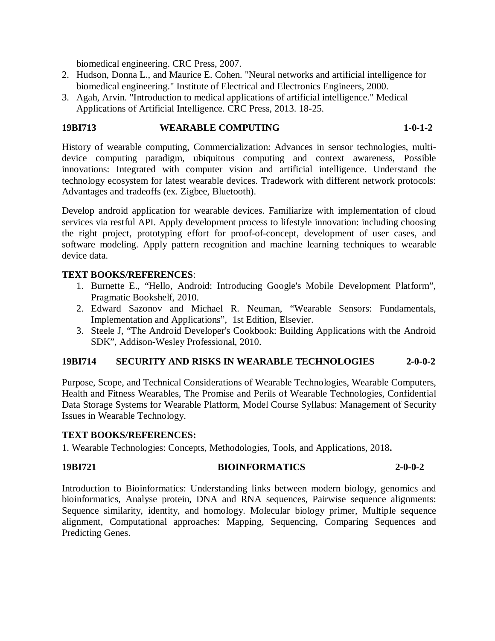biomedical engineering. CRC Press, 2007.

- 2. Hudson, Donna L., and Maurice E. Cohen. "Neural networks and artificial intelligence for biomedical engineering." Institute of Electrical and Electronics Engineers, 2000.
- 3. Agah, Arvin. "Introduction to medical applications of artificial intelligence." Medical Applications of Artificial Intelligence. CRC Press, 2013. 18-25.

#### **19BI713 WEARABLE COMPUTING 1-0-1-2**

History of wearable computing, Commercialization: Advances in sensor technologies, multidevice computing paradigm, ubiquitous computing and context awareness, Possible innovations: Integrated with computer vision and artificial intelligence. Understand the technology ecosystem for latest wearable devices. Tradework with different network protocols: Advantages and tradeoffs (ex. Zigbee, Bluetooth).

Develop android application for wearable devices. Familiarize with implementation of cloud services via restful API. Apply development process to lifestyle innovation: including choosing the right project, prototyping effort for proof-of-concept, development of user cases, and software modeling. Apply pattern recognition and machine learning techniques to wearable device data.

#### **TEXT BOOKS/REFERENCES**:

- 1. Burnette E., "Hello, Android: Introducing Google's Mobile Development Platform", Pragmatic Bookshelf, 2010.
- 2. Edward Sazonov and Michael R. Neuman, "Wearable Sensors: Fundamentals, Implementation and Applications", 1st Edition, Elsevier.
- 3. Steele J, "The Android Developer's Cookbook: Building Applications with the Android SDK", Addison-Wesley Professional, 2010.

#### **19BI714 SECURITY AND RISKS IN WEARABLE TECHNOLOGIES 2-0-0-2**

Purpose, Scope, and Technical Considerations of Wearable Technologies, Wearable Computers, Health and Fitness Wearables, The Promise and Perils of Wearable Technologies, Confidential Data Storage Systems for Wearable Platform, Model Course Syllabus: Management of Security Issues in Wearable Technology.

#### **TEXT BOOKS/REFERENCES:**

1. Wearable Technologies: Concepts, Methodologies, Tools, and Applications, 2018**.**

# **19BI721 BIOINFORMATICS 2-0-0-2**

Introduction to Bioinformatics: Understanding links between modern biology, genomics and bioinformatics, Analyse protein, DNA and RNA sequences, Pairwise sequence alignments: Sequence similarity, identity, and homology. Molecular biology primer, Multiple sequence alignment, Computational approaches: Mapping, Sequencing, Comparing Sequences and Predicting Genes.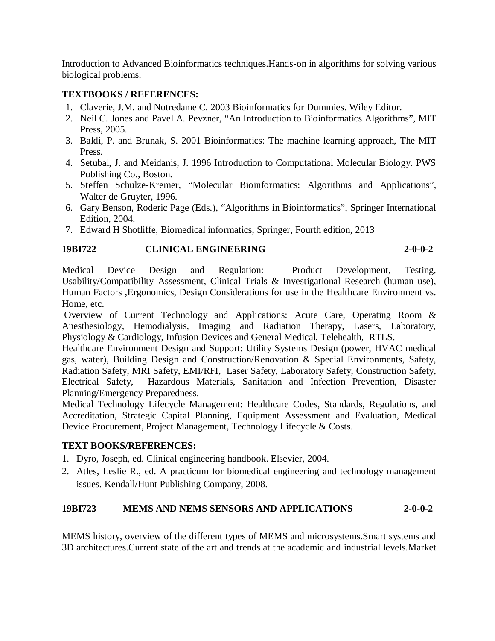Introduction to Advanced Bioinformatics techniques.Hands-on in algorithms for solving various biological problems.

# **TEXTBOOKS / REFERENCES:**

- 1. Claverie, J.M. and Notredame C. 2003 Bioinformatics for Dummies. Wiley Editor.
- 2. Neil C. Jones and Pavel A. Pevzner, "An Introduction to Bioinformatics Algorithms", MIT Press, 2005.
- 3. Baldi, P. and Brunak, S. 2001 Bioinformatics: The machine learning approach, The MIT Press.
- 4. Setubal, J. and Meidanis, J. 1996 Introduction to Computational Molecular Biology. PWS Publishing Co., Boston.
- 5. Steffen Schulze-Kremer, "Molecular Bioinformatics: Algorithms and Applications", Walter de Gruyter, 1996.
- 6. Gary Benson, Roderic Page (Eds.), "Algorithms in Bioinformatics", Springer International Edition, 2004.
- 7. Edward H Shotliffe, Biomedical informatics, Springer, Fourth edition, 2013

# **19BI722 CLINICAL ENGINEERING 2-0-0-2**

Medical Device Design and Regulation: Product Development, Testing, Usability/Compatibility Assessment, Clinical Trials & Investigational Research (human use), Human Factors ,Ergonomics, Design Considerations for use in the Healthcare Environment vs. Home, etc.

Overview of Current Technology and Applications: Acute Care, Operating Room & Anesthesiology, Hemodialysis, Imaging and Radiation Therapy, Lasers, Laboratory, Physiology & Cardiology, Infusion Devices and General Medical, Telehealth, RTLS.

Healthcare Environment Design and Support: Utility Systems Design (power, HVAC medical gas, water), Building Design and Construction/Renovation & Special Environments, Safety, Radiation Safety, MRI Safety, EMI/RFI, Laser Safety, Laboratory Safety, Construction Safety, Electrical Safety, Hazardous Materials, Sanitation and Infection Prevention, Disaster Planning/Emergency Preparedness.

Medical Technology Lifecycle Management: Healthcare Codes, Standards, Regulations, and Accreditation, Strategic Capital Planning, Equipment Assessment and Evaluation, Medical Device Procurement, Project Management, Technology Lifecycle & Costs.

# **TEXT BOOKS/REFERENCES:**

- 1. Dyro, Joseph, ed. Clinical engineering handbook. Elsevier, 2004.
- 2. Atles, Leslie R., ed. A practicum for biomedical engineering and technology management issues. Kendall/Hunt Publishing Company, 2008.

# **19BI723 MEMS AND NEMS SENSORS AND APPLICATIONS 2-0-0-2**

MEMS history, overview of the different types of MEMS and microsystems.Smart systems and 3D architectures.Current state of the art and trends at the academic and industrial levels.Market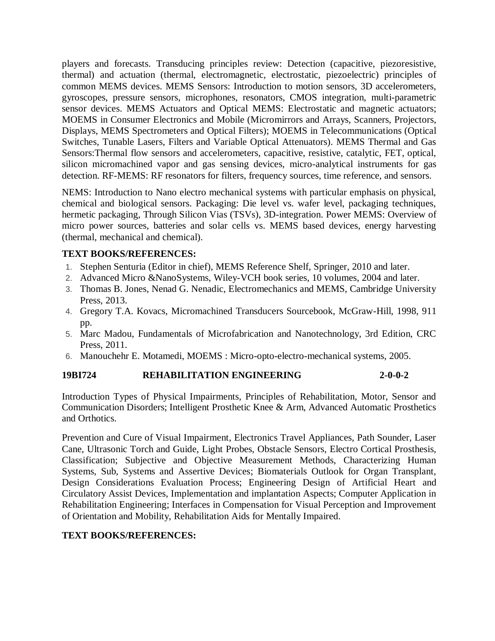players and forecasts. Transducing principles review: Detection (capacitive, piezoresistive, thermal) and actuation (thermal, electromagnetic, electrostatic, piezoelectric) principles of common MEMS devices. MEMS Sensors: Introduction to motion sensors, 3D accelerometers, gyroscopes, pressure sensors, microphones, resonators, CMOS integration, multi-parametric sensor devices. MEMS Actuators and Optical MEMS: Electrostatic and magnetic actuators; MOEMS in Consumer Electronics and Mobile (Micromirrors and Arrays, Scanners, Projectors, Displays, MEMS Spectrometers and Optical Filters); MOEMS in Telecommunications (Optical Switches, Tunable Lasers, Filters and Variable Optical Attenuators). MEMS Thermal and Gas Sensors:Thermal flow sensors and accelerometers, capacitive, resistive, catalytic, FET, optical, silicon micromachined vapor and gas sensing devices, micro-analytical instruments for gas detection. RF-MEMS: RF resonators for filters, frequency sources, time reference, and sensors.

NEMS: Introduction to Nano electro mechanical systems with particular emphasis on physical, chemical and biological sensors. Packaging: Die level vs. wafer level, packaging techniques, hermetic packaging, Through Silicon Vias (TSVs), 3D-integration. Power MEMS: Overview of micro power sources, batteries and solar cells vs. MEMS based devices, energy harvesting (thermal, mechanical and chemical).

# **TEXT BOOKS/REFERENCES:**

- 1. Stephen Senturia (Editor in chief), MEMS Reference Shelf, Springer, 2010 and later.
- 2. Advanced Micro &NanoSystems, Wiley-VCH book series, 10 volumes, 2004 and later.
- 3. Thomas B. Jones, Nenad G. Nenadic, Electromechanics and MEMS, Cambridge University Press, 2013.
- 4. Gregory T.A. Kovacs, Micromachined Transducers Sourcebook, McGraw-Hill, 1998, 911 pp.
- 5. Marc Madou, Fundamentals of Microfabrication and Nanotechnology, 3rd Edition, CRC Press, 2011.
- 6. Manouchehr E. Motamedi, MOEMS : Micro-opto-electro-mechanical systems, 2005.

# **19BI724 REHABILITATION ENGINEERING 2-0-0-2**

Introduction Types of Physical Impairments, Principles of Rehabilitation, Motor, Sensor and Communication Disorders; Intelligent Prosthetic Knee & Arm, Advanced Automatic Prosthetics and Orthotics.

Prevention and Cure of Visual Impairment, Electronics Travel Appliances, Path Sounder, Laser Cane, Ultrasonic Torch and Guide, Light Probes, Obstacle Sensors, Electro Cortical Prosthesis, Classification; Subjective and Objective Measurement Methods, Characterizing Human Systems, Sub, Systems and Assertive Devices; Biomaterials Outlook for Organ Transplant, Design Considerations Evaluation Process; Engineering Design of Artificial Heart and Circulatory Assist Devices, Implementation and implantation Aspects; Computer Application in Rehabilitation Engineering; Interfaces in Compensation for Visual Perception and Improvement of Orientation and Mobility, Rehabilitation Aids for Mentally Impaired.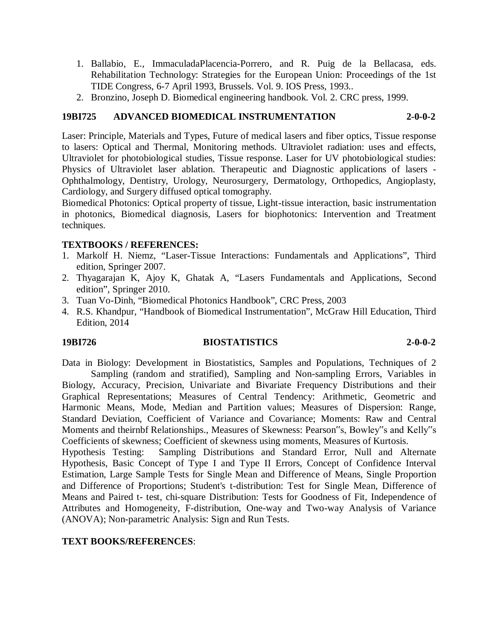- 1. Ballabio, E., ImmaculadaPlacencia-Porrero, and R. Puig de la Bellacasa, eds. Rehabilitation Technology: Strategies for the European Union: Proceedings of the 1st TIDE Congress, 6-7 April 1993, Brussels. Vol. 9. IOS Press, 1993..
- 2. Bronzino, Joseph D. Biomedical engineering handbook. Vol. 2. CRC press, 1999.

# **19BI725 ADVANCED BIOMEDICAL INSTRUMENTATION 2-0-0-2**

Laser: Principle, Materials and Types, Future of medical lasers and fiber optics, Tissue response to lasers: Optical and Thermal, Monitoring methods. Ultraviolet radiation: uses and effects, Ultraviolet for photobiological studies, Tissue response. Laser for UV photobiological studies: Physics of Ultraviolet laser ablation. Therapeutic and Diagnostic applications of lasers - Ophthalmology, Dentistry, Urology, Neurosurgery, Dermatology, Orthopedics, Angioplasty, Cardiology, and Surgery diffused optical tomography.

Biomedical Photonics: Optical property of tissue, Light-tissue interaction, basic instrumentation in photonics, Biomedical diagnosis, Lasers for biophotonics: Intervention and Treatment techniques.

# **TEXTBOOKS / REFERENCES:**

- 1. Markolf H. Niemz, "Laser-Tissue Interactions: Fundamentals and Applications", Third edition, Springer 2007.
- 2. Thyagarajan K, Ajoy K, Ghatak A, "Lasers Fundamentals and Applications, Second edition", Springer 2010.
- 3. Tuan Vo-Dinh, "Biomedical Photonics Handbook", CRC Press, 2003
- 4. R.S. Khandpur, "Handbook of Biomedical Instrumentation", McGraw Hill Education, Third Edition, 2014

#### **19BI726 BIOSTATISTICS 2-0-0-2**

Data in Biology: Development in Biostatistics, Samples and Populations, Techniques of 2 Sampling (random and stratified), Sampling and Non-sampling Errors, Variables in Biology, Accuracy, Precision, Univariate and Bivariate Frequency Distributions and their Graphical Representations; Measures of Central Tendency: Arithmetic, Geometric and

Harmonic Means, Mode, Median and Partition values; Measures of Dispersion: Range, Standard Deviation, Coefficient of Variance and Covariance; Moments: Raw and Central Moments and theirnbf Relationships., Measures of Skewness: Pearson"s, Bowley"s and Kelly"s Coefficients of skewness; Coefficient of skewness using moments, Measures of Kurtosis.

Hypothesis Testing: Sampling Distributions and Standard Error, Null and Alternate Hypothesis, Basic Concept of Type I and Type II Errors, Concept of Confidence Interval Estimation, Large Sample Tests for Single Mean and Difference of Means, Single Proportion and Difference of Proportions; Student's t-distribution: Test for Single Mean, Difference of Means and Paired t- test, chi-square Distribution: Tests for Goodness of Fit, Independence of Attributes and Homogeneity, F-distribution, One-way and Two-way Analysis of Variance (ANOVA); Non-parametric Analysis: Sign and Run Tests.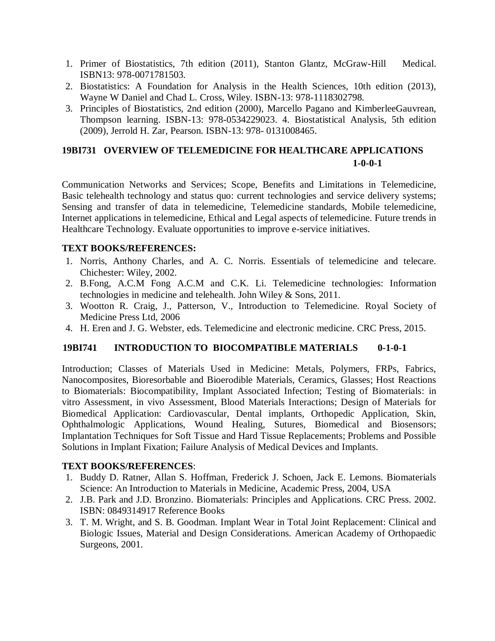- 1. Primer of Biostatistics, 7th edition (2011), Stanton Glantz, McGraw-Hill Medical. ISBN13: 978-0071781503.
- 2. Biostatistics: A Foundation for Analysis in the Health Sciences, 10th edition (2013), Wayne W Daniel and Chad L. Cross, Wiley. ISBN-13: 978-1118302798.
- 3. Principles of Biostatistics, 2nd edition (2000), Marcello Pagano and KimberleeGauvrean, Thompson learning. ISBN-13: 978-0534229023. 4. Biostatistical Analysis, 5th edition (2009), Jerrold H. Zar, Pearson. ISBN-13: 978- 0131008465.

# **19BI731 OVERVIEW OF TELEMEDICINE FOR HEALTHCARE APPLICATIONS 1-0-0-1**

Communication Networks and Services; Scope, Benefits and Limitations in Telemedicine, Basic telehealth technology and status quo: current technologies and service delivery systems; Sensing and transfer of data in telemedicine, Telemedicine standards, Mobile telemedicine, Internet applications in telemedicine, Ethical and Legal aspects of telemedicine. Future trends in Healthcare Technology. Evaluate opportunities to improve e-service initiatives.

## **TEXT BOOKS/REFERENCES:**

- 1. Norris, Anthony Charles, and A. C. Norris. Essentials of telemedicine and telecare. Chichester: Wiley, 2002.
- 2. B.Fong, A.C.M Fong A.C.M and C.K. Li. Telemedicine technologies: Information technologies in medicine and telehealth. John Wiley & Sons, 2011.
- 3. Wootton R. Craig, J., Patterson, V., Introduction to Telemedicine. Royal Society of Medicine Press Ltd, 2006
- 4. H. Eren and J. G. Webster, eds. Telemedicine and electronic medicine. CRC Press, 2015.

# **19BI741 INTRODUCTION TO BIOCOMPATIBLE MATERIALS 0-1-0-1**

Introduction; Classes of Materials Used in Medicine: Metals, Polymers, FRPs, Fabrics, Nanocomposites, Bioresorbable and Bioerodible Materials, Ceramics, Glasses; Host Reactions to Biomaterials: Biocompatibility, Implant Associated Infection; Testing of Biomaterials: in vitro Assessment, in vivo Assessment, Blood Materials Interactions; Design of Materials for Biomedical Application: Cardiovascular, Dental implants, Orthopedic Application, Skin, Ophthalmologic Applications, Wound Healing, Sutures, Biomedical and Biosensors; Implantation Techniques for Soft Tissue and Hard Tissue Replacements; Problems and Possible Solutions in Implant Fixation; Failure Analysis of Medical Devices and Implants.

- 1. Buddy D. Ratner, Allan S. Hoffman, Frederick J. Schoen, Jack E. Lemons. Biomaterials Science: An Introduction to Materials in Medicine, Academic Press, 2004, USA
- 2. J.B. Park and J.D. Bronzino. Biomaterials: Principles and Applications. CRC Press. 2002. ISBN: 0849314917 Reference Books
- 3. T. M. Wright, and S. B. Goodman. Implant Wear in Total Joint Replacement: Clinical and Biologic Issues, Material and Design Considerations. American Academy of Orthopaedic Surgeons, 2001.